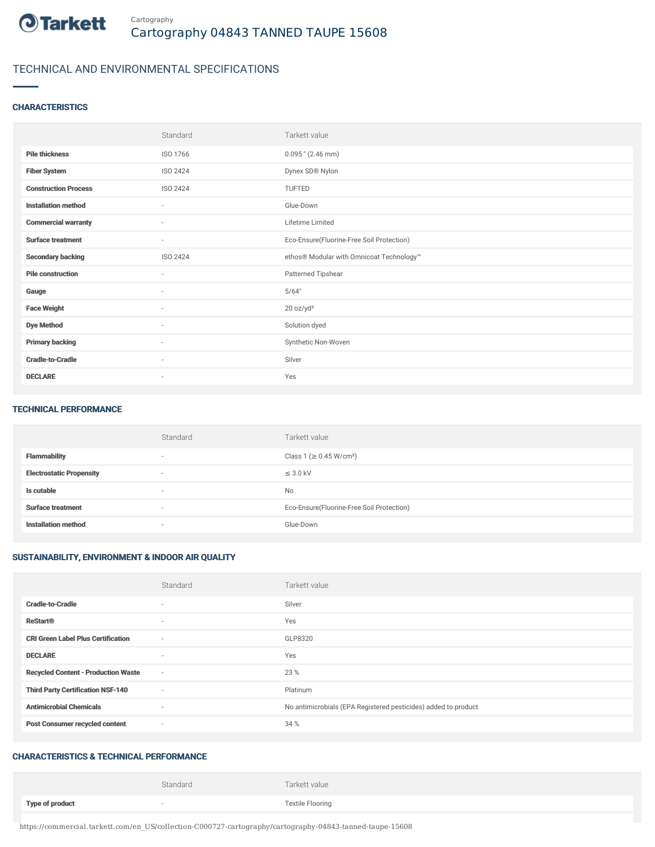

## TECHNICAL AND ENVIRONMENTAL SPECIFICATIONS

#### **CHARACTERISTICS**

|                             | Standard                 | Tarkett value                             |
|-----------------------------|--------------------------|-------------------------------------------|
| <b>Pile thickness</b>       | ISO 1766                 | $0.095$ " (2.46 mm)                       |
| <b>Fiber System</b>         | <b>ISO 2424</b>          | Dynex SD® Nylon                           |
| <b>Construction Process</b> | <b>ISO 2424</b>          | TUFTED                                    |
| <b>Installation method</b>  | ٠                        | Glue-Down                                 |
| <b>Commercial warranty</b>  | $\sim$                   | Lifetime Limited                          |
| <b>Surface treatment</b>    | ٠                        | Eco-Ensure(Fluorine-Free Soil Protection) |
| <b>Secondary backing</b>    | <b>ISO 2424</b>          | ethos® Modular with Omnicoat Technology™  |
| <b>Pile construction</b>    | $\sim$                   | Patterned Tipshear                        |
| Gauge                       | $\sim$                   | 5/64"                                     |
| <b>Face Weight</b>          | $\sim$                   | 20 oz/yd <sup>2</sup>                     |
| <b>Dye Method</b>           | ×                        | Solution dyed                             |
| <b>Primary backing</b>      | $\overline{\phantom{a}}$ | Synthetic Non-Woven                       |
| <b>Cradle-to-Cradle</b>     | ٠                        | Silver                                    |
| <b>DECLARE</b>              | ٠                        | Yes                                       |

#### TECHNICAL PERFORMANCE

|                                 | Standard                 | Tarkett value                             |
|---------------------------------|--------------------------|-------------------------------------------|
| <b>Flammability</b>             | $\overline{\phantom{a}}$ | Class 1 (≥ 0.45 W/cm <sup>2</sup> )       |
| <b>Electrostatic Propensity</b> | $\overline{\phantom{a}}$ | $\leq$ 3.0 kV                             |
| Is cutable                      | $\overline{\phantom{a}}$ | <b>No</b>                                 |
| <b>Surface treatment</b>        | $\overline{\phantom{a}}$ | Eco-Ensure(Fluorine-Free Soil Protection) |
| <b>Installation method</b>      | $\overline{\phantom{a}}$ | Glue-Down                                 |

#### SUSTAINABILITY, ENVIRONMENT & INDOOR AIR QUALITY

|                                            | Standard | Tarkett value                                                  |
|--------------------------------------------|----------|----------------------------------------------------------------|
| <b>Cradle-to-Cradle</b>                    | $\sim$   | Silver                                                         |
| <b>ReStart®</b>                            | $\sim$   | Yes                                                            |
| <b>CRI Green Label Plus Certification</b>  | $\sim$   | GLP8320                                                        |
| <b>DECLARE</b>                             | $\sim$   | Yes                                                            |
| <b>Recycled Content - Production Waste</b> | $\sim$   | 23 %                                                           |
| <b>Third Party Certification NSF-140</b>   | $\sim$   | Platinum                                                       |
| <b>Antimicrobial Chemicals</b>             | $\sim$   | No antimicrobials (EPA Registered pesticides) added to product |
| <b>Post Consumer recycled content</b>      | $\sim$   | 34 %                                                           |

### CHARACTERISTICS & TECHNICAL PERFORMANCE

|                        | Standard | Tarkett value           |
|------------------------|----------|-------------------------|
| <b>Type of product</b> |          | <b>Textile Flooring</b> |